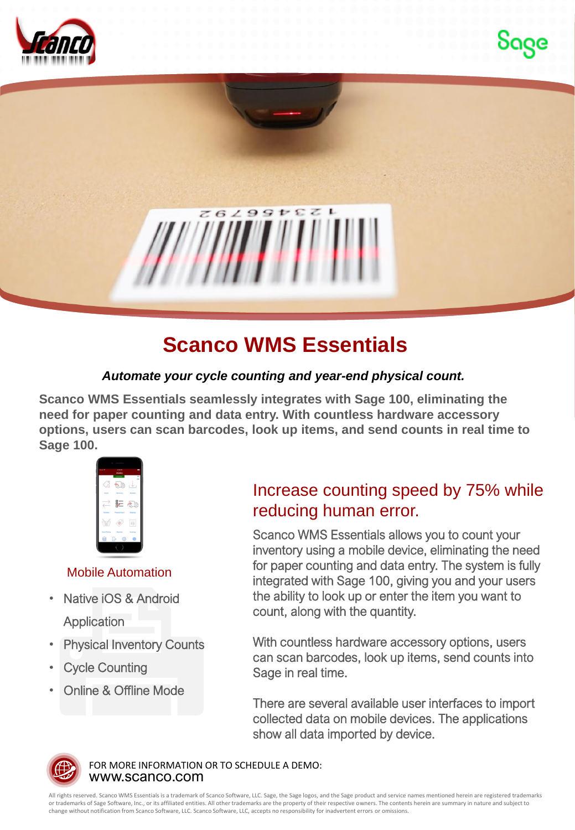



## **Scanco WMS Essentials**

## *Automate your cycle counting and year-end physical count.*

**Scanco WMS Essentials seamlessly integrates with Sage 100, eliminating the need for paper counting and data entry. With countless hardware accessory options, users can scan barcodes, look up items, and send counts in real time to Sage 100.**



## Mobile Automation

- Native iOS & Android **Application**
- **Physical Inventory Counts**
- **Cycle Counting**
- Online & Offline Mode

## Increase counting speed by 75% while reducing human error.

Scanco WMS Essentials allows you to count your inventory using a mobile device, eliminating the need for paper counting and data entry. The system is fully integrated with Sage 100, giving you and your users the ability to look up or enter the item you want to count, along with the quantity.

With countless hardware accessory options, users can scan barcodes, look up items, send counts into Sage in real time.

There are several available user interfaces to import collected data on mobile devices. The applications show all data imported by device.



www.scanco.com FOR MORE INFORMATION OR TO SCHEDULE A DEMO:

All rights reserved. Scanco WMS Essentials is a trademark of Scanco Software, LLC. Sage, the Sage logos, and the Sage product and service names mentioned herein are registered trademarks or trademarks of Sage Software, Inc., or its affiliated entities. All other trademarks are the property of their respective owners. The contents herein are summary in nature and subject to change without notification from Scanco Software, LLC. Scanco Software, LLC, accepts no responsibility for inadvertent errors or omissions.